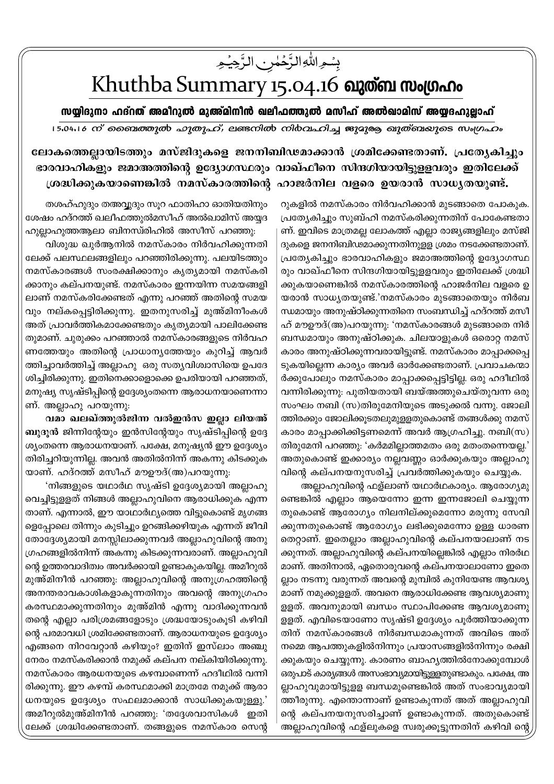## بِسْمِ اللَّهِ الزَّحْمٰنِ الزَّحِيْمِ

## Khuthba Summary 15.04.16 வுள்ள மூழுமை

സയ്യിദുനാ ഹദ്റത് അമീറുൽ മുഅ്മിനീൻ ഖലീഫത്തുൽ മസീഹ് അൽഖാമിസ് അയ്യദഹുല്ലാഹ്

15.04.16 ന് ബൈത്തുൽ ഹുതുഹ്, ലണ്ടനിൽ നിർവഹിച്ച ജുദുരു ഖുത്ബയുടെ സംഗ്രഹം

ലോകത്തെല്ലായിടത്തും മസ്ജിദുകളെ ജനനിബിഢമാക്കാൻ ശ്രമിക്കേണ്ടതാണ്. പ്രത്യേകിച്ചും ഭാരവാഹികളും ജമാഅത്തിന്റെ ഉദ്യോഗസ്ഥരും വാഖ്ഫീനെ സിന്ദഗിയായിട്ടുള്ളവരും ഇതിലേക്ക് ശ്രദ്ധിക്കുകയാണെങ്കിൽ നമസ്കാരത്തിന്റെ ഹാജർനില വളരെ ഉയരാൻ സാധ്യതയുണ്ട്.

> റുകളിൽ നമസ്കാരം നിർവഹിക്കാൻ മുടങ്ങാതെ പോകുക. പ്രത്യേകിച്ചും സുബ്ഹി നമസ്കരിക്കുന്നതിന് പോകേണ്ടതാ ണ്. ഇവിടെ മാത്രമല്ല ലോകത്ത് എല്ലാ രാജ്യങ്ങളിലും മസ്ജി ദുകളെ ജനനിബിഢമാക്കുന്നതിനുളള ശ്രമം നടക്കേണ്ടതാണ്. പ്രത്യേകിച്ചും ഭാരവാഹികളും ജമാഅത്തിന്റെ ഉദ്യോഗസ്ഥ രും വാഖ്ഫീനെ സിന്ദഗിയായിട്ടുള്ളവരും ഇതിലേക്ക് ശ്രദ്ധി ക്കുകയാണെങ്കിൽ നമസ്കാരത്തിന്റെ ഹാജർനില വളരെ ഉ യരാൻ സാധ്യതയുണ്ട്.'നമസ്കാരം മുടങ്ങാതെയും നിർബ ന്ധമായും അനുഷ്ഠിക്കുന്നതിനെ സംബന്ധിച്ച് ഹദ്റത്ത് മസീ ഹ് മൗഊദ്(അ)പറയുന്നു: 'നമസ്കാരങ്ങൾ മുടങ്ങാതെ നിർ ബന്ധമായും അനുഷ്ഠിക്കുക. ചിലയാളുകൾ ഒരൊറ്റ നമസ് കാരം അനുഷ്ഠിക്കുന്നവരായിട്ടുണ്ട്. നമസ്കാരം മാപ്പാക്കപ്പെ ടുകയില്ലെന്ന കാര്യം അവർ ഓർക്കേണ്ടതാണ്. പ്രവാചകന്മാ ർക്കുപോലും നമസ്കാരം മാപ്പാക്കപ്പെട്ടിട്ടില്ല. ഒരു ഹദീഥിൽ വന്നിരിക്കുന്നു: പുതിയതായി ബയ്അത്തുചെയ്തുവന്ന ഒരു സംഘം നബി (സ)തിരുമേനിയുടെ അടുക്കൽ വന്നു. ജോലി ത്തിരക്കും ജോലിക്കൂടതലുമുളളതുകൊണ്ട് തങ്ങൾക്കു നമസ് കാരം മാപ്പാക്കിക്കിട്ടണമെന്ന് അവർ ആഗ്രഹിച്ചു. നബി(സ) തിരുമേനി പറഞ്ഞു: 'കർമമില്ലാത്തമതം ഒരു മതംതന്നെയല്ല.' അതുകൊണ്ട് ഇക്കാര്യം നല്ലവണ്ണം ഓർക്കുകയും അല്ലാഹു വിന്റെ കല്പനയനുസരിച്ച് പ്രവർത്തിക്കുകയും ചെയ്യുക.

> അല്ലാഹുവിന്റെ ഫള്ലാണ് യഥാർഥകാര്യം. ആരോഗ്യമു ണ്ടെങ്കിൽ എല്ലാം ആയെന്നോ ഇന്ന ഇന്നജോലി ചെയ്യുന്ന തുകൊണ്ട് ആരോഗ്യം നിലനില്ക്കുമെന്നോ മരുന്നു സേവി ക്കുന്നതുകൊണ്ട് ആരോഗ്യം ലഭിക്കുമെന്നോ ഉള്ള ധാരണ തെറ്റാണ്. ഇതെല്ലാം അല്ലാഹുവിന്റെ കല്പനയാലാണ് നട ക്കുന്നത്. അല്ലാഹുവിന്റെ കല്പനയില്ലെങ്കിൽ എല്ലാം നിരർഥ മാണ്. അതിനാൽ, ഏതൊരുവന്റെ കല്പനയാലാണോ ഇതെ ല്ലാം നടന്നു വരുന്നത് അവന്റെ മുമ്പിൽ കുനിയേണ്ട ആവശ്യ മാണ് നമുക്കുളളത്. അവനെ ആരാധിക്കേണ്ട ആവശ്യമാണു ള്ളത്. അവനുമായി ബന്ധം സ്ഥാപിക്കേണ്ട ആവശ്യമാണു ളളത്. എവിടെയാണോ സൃഷ്ടി ഉദ്ദേശ്യം പൂർത്തിയാക്കുന്ന തിന് നമസ്കാരങ്ങൾ നിർബന്ധമാകുന്നത് അവിടെ അത് നമ്മെ ആപത്തുകളിൽനിന്നും പ്രയാസങ്ങളിൽനിന്നും രക്ഷി ക്കുകയും ചെയ്യുന്നു. കാരണം ബാഹ്യത്തിൽനോക്കുമ്പോൾ ഒരുപാട് കാര്യങ്ങൾ അസംഭാവ്യമായിട്ടുള്ളതുണ്ടാകും. പക്ഷേ, അ ല്ലാഹുവുമായിട്ടുളള ബന്ധമുണ്ടെങ്കിൽ അത് സംഭാവ്യമായി ത്തീരുന്നു. എന്തൊന്നാണ് ഉണ്ടാകുന്നത് അത് അല്ലാഹുവി ന്റെ കല്പനയനുസരിച്ചാണ് ഉണ്ടാകുന്നത്. അതുകൊണ്ട് അല്ലാഹുവിന്റെ ഫള്ലുകളെ സ്വരുക്കൂട്ടുന്നതിന് കഴിവി ന്റെ

തശഹ്ഹുദും തഅവ്വദും സൂറ ഫാതിഹാ ഓതിയതിനും ശേഷം ഹദ്റത്ത് ഖലീഫത്തുൽമസീഹ് അൽഖാമിസ് അയ്യദ ഹുല്ലാഹുത്തആലാ ബിനസ്രിഹിൽ അസീസ് പറഞ്ഞു:

വിശുദ്ധ ഖുർആനിൽ നമസ്കാരം നിർവഹിക്കുന്നതി ലേക്ക് പലസ്ഥലങ്ങളിലും പറഞ്ഞിരിക്കുന്നു. പലയിടത്തും നമസ്കാരങ്ങൾ സംരക്ഷിക്കാനും കൃത്യമായി നമസ്കരി ക്കാനും കല്പനയുണ്ട്. നമസ്കാരം ഇന്നയിന്ന സമയങ്ങളി ലാണ് നമസ്കരിക്കേണ്ടത് എന്നു പറഞ്ഞ് അതിന്റെ സമയ വും നല്കപ്പെട്ടിരിക്കുന്നു. ഇതനുസരിച്ച് മുഅ്മിനീംകൾ അത് പ്രാവർത്തികമാക്കേണ്ടതും കൃത്യമായി പാലിക്കേണ്ട തുമാണ്. ചുരുക്കം പറഞ്ഞാൽ നമസ്കാരങ്ങളുടെ നിർവഹ ണത്തേയും അതിന്റെ പ്രാധാന്യത്തേയും കുറിച്ച് ആവർ ത്തിച്ചാവർത്തിച്ച് അല്ലാഹു ഒരു സത്യവിശ്വാസിയെ ഉപദേ ശിച്ചിരിക്കുന്നു. ഇതിനെക്കാളൊക്കെ ഉപരിയായി പറഞ്ഞത്, മനുഷ്യ സൃഷ്ടിപ്പിന്റെ ഉദ്ദേശ്യംതന്നെ ആരാധനയാണെന്നാ ണ്. അല്ലാഹു പറയുന്നു:

വമാ ഖലഖ്ത്തുൽജിന്ന വൽഇൻസ ഇല്ലാ ലിയഅ് ബുദൂൻ ജിന്നിന്റേയും ഇൻസിന്റേയും സൃഷ്ടിപ്പിന്റെ ഉദ്ദേ ശ്യംതന്നെ ആരാധനയാണ്. പക്ഷേ, മനുഷ്യൻ ഈ ഉദ്ദേശ്യം തിരിച്ചറിയുന്നില്ല. അവൻ അതിൽനിന്ന് അകന്നു കിടക്കുക യാണ്. ഹദ്റത്ത് മസീഹ് മൗഊദ്(അ)പറയുന്നു:

'നിങ്ങളുടെ യഥാർഥ സൃഷ്ടി ഉദ്ദേശ്യമായി അല്ലാഹു വെച്ചിട്ടുളളത് നിങ്ങൾ അല്ലാഹുവിനെ ആരാധിക്കുക എന്ന താണ്. എന്നാൽ, ഈ യാഥാർഥ്യത്തെ വിട്ടുകൊണ്ട് മൃഗങ്ങ ളെപ്പോലെ തിന്നും കുടിച്ചും ഉറങ്ങിക്കഴിയുക എന്നത് ജീവി തോദ്ദേശ്യമായി മനസ്സിലാക്കുന്നവർ അല്ലാഹുവിന്റെ അനു ഗ്രഹങ്ങളിൽനിന്ന് അകന്നു കിടക്കുന്നവരാണ്. അല്ലാഹുവി ന്റെ ഉത്തരവാദിത്വം അവർക്കായി ഉണ്ടാകുകയില്ല. അമീറുൽ മുഅ്മിനീൻ പറഞ്ഞു: അല്ലാഹുവിന്റെ അനുഗ്രഹത്തിന്റെ അനന്തരാവകാശികളാകുന്നതിനും അവന്റെ അനുഗ്രഹം കരസ്ഥമാക്കുന്നതിനും മുഅ്മിൻ എന്നു വാദിക്കുന്നവൻ തന്റെ എല്ലാ പരിശ്രമങ്ങളോടും ശ്രദ്ധയോടുംകൂടി കഴിവി ന്റെ പരമാവധി ശ്രമിക്കേണ്ടതാണ്. ആരാധനയുടെ ഉദ്ദേശ്യം എങ്ങനെ നിറവേറ്റാൻ കഴിയും? ഇതിന് ഇസ്ലാം അഞ്ചു നേരം നമസ്കരിക്കാൻ നമുക്ക് കല്പന നല്കിയിരിക്കുന്നു. നമസ്കാരം ആരധനയുടെ കഴമ്പാണെന്ന് ഹദീഥിൽ വന്നി രിക്കുന്നു. ഈ കഴമ്പ് കരസ്ഥമാക്കി മാത്രമേ നമുക്ക് ആരാ ധനയുടെ ഉദ്ദേശ്യം സഫലമാക്കാൻ സാധിക്കുകയുള്ളു.' അമീറുൽമുഅ്മിനീൻ പറഞ്ഞു: 'തദ്ദേശവാസികൾ ഇതി ലേക്ക് ശ്രദ്ധിക്കേണ്ടതാണ്. തങ്ങളുടെ നമസ്കാര സെന്റ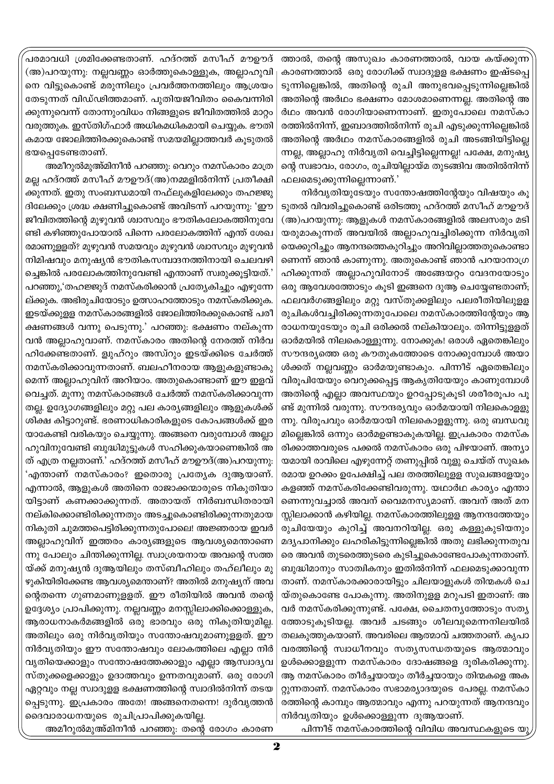പരമാവധി ശ്രമിക്കേണ്ടതാണ്. ഹദ്റത്ത് മസീഹ് മൗഊദ് (അ)പറയുന്നു: നല്ലവണ്ണം ഓർത്തുകൊള്ളുക, അല്ലാഹുവി നെ വിട്ടുകൊണ്ട് മരുന്നിലും പ്രവർത്തനത്തിലും ആശ്രയം തേടുന്നത് വിഡ്ഢിത്തമാണ്. പുതിയജീവിതം കൈവന്നിരി ക്കുന്നുവെന്ന് തോന്നുംവിധം നിങ്ങളുടെ ജീവിതത്തിൽ മാറ്റം വരുത്തുക. ഇസ്തിഗ്ഫാർ അധികമധികമായി ചെയ്യുക. ഭൗതി കമായ ജോലിത്തിരക്കുകൊണ്ട് സമയമില്ലാത്തവർ കുടുതൽ ഭയപ്പെടേണ്ടതാണ്.

അമീറുൽമുഅ്മിനീൻ പറഞ്ഞു: വെറും നമസ്കാരം മാത്ര മല്ല ഹദ്റത്ത് മസീഹ് മൗഊദ്(അ)നമ്മളിൽനിന്ന് പ്രതീക്ഷി ക്കുന്നത്. ഇതു സംബന്ധമായി നഫ്ലുകളിലേക്കും തഹജ്ജു ദിലേക്കും ശ്രദ്ധ ക്ഷണിച്ചുകൊണ്ട് അവിടന്ന് പറയുന്നു: 'ഈ ജീവിതത്തിന്റെ മുഴുവൻ ശ്വാസവും ഭൗതികലോകത്തിനുവേ ണ്ടി കഴിഞ്ഞുപോയാൽ പിന്നെ പരലോകത്തിന് എന്ത് ശേഖ രമാണുള്ളത്? മുഴുവൻ സമയവും മുഴുവൻ ശ്വാസവും മുഴുവൻ നിമിഷവും മനുഷ്യൻ ഭൗതികസമ്പാദനത്തിനായി ചെലവഴി ച്ചെങ്കിൽ പരലോകത്തിനുവേണ്ടി എന്താണ് സ്വരുക്കുട്ടിയത്.' പറഞ്ഞു,'തഹജ്ജുദ് നമസ്കരിക്കാൻ പ്രത്യേകിച്ചും എഴുന്നേ ല്ക്കുക. അഭിരുചിയോടും ഉത്സാഹത്തോടും നമസ്കരിക്കുക. ഇടയ്ക്കുളള നമസ്കാരങ്ങളിൽ ജോലിത്തിരക്കുകൊണ്ട് പരീ ക്ഷണങ്ങൾ വന്നു പെടുന്നു.' പറഞ്ഞു: ഭക്ഷണം നല്കുന്ന വൻ അല്ലാഹുവാണ്. നമസ്കാരം അതിന്റെ നേരത്ത് നിർവ ഹിക്കേണ്ടതാണ്. ള്വുഹ്റും അസ്റും ഇടയ്ക്കിടെ ചേർത്ത് നമസ്കരിക്കാവുന്നതാണ്. ബലഹീനരായ ആളുകളുണ്ടാകു മെന്ന് അല്ലാഹുവിന് അറിയാം. അതുകൊണ്ടാണ് ഈ ഇളവ് വെച്ചത്. മൂന്നു നമസ്കാരങ്ങൾ ചേർത്ത് നമസ്കരിക്കാവുന്ന തല്ല. ഉദ്യോഗങ്ങളിലും മറ്റു പല കാര്യങ്ങളിലും ആളുകൾക്ക് ശിക്ഷ കിട്ടാറുണ്ട്. ഭരണാധികാരികളുടെ കോപങ്ങൾക്ക് ഇര യാകേണ്ടി വരികയും ചെയ്യുന്നു. അങ്ങനെ വരുമ്പോൾ അല്ലാ ഹുവിനുവേണ്ടി ബുദ്ധിമുട്ടുകൾ സഹിക്കുകയാണെങ്കിൽ അ ത് എത്ര നല്ലതാണ്.' ഹദ്റത്ത് മസീഹ് മൗഊദ്(അ)പറയുന്നു: 'എന്താണ് നമസ്കാരം? ഇതൊരു പ്രത്യേക ദുആയാണ്. എന്നാൽ, ആളുകൾ അതിനെ രാജാക്കന്മാരുടെ നികുതിയാ യിട്ടാണ് കണക്കാക്കുന്നത്. അതായത് നിർബന്ധിതരായി നല്കിക്കൊണ്ടിരിക്കുന്നതും അടച്ചുകൊണ്ടിരിക്കുന്നതുമായ നികുതി ചുമത്തപെട്ടിരിക്കുന്നതുപോലെ! അജ്ഞരായ ഇവർ അല്ലാഹുവിന് ഇത്തരം കാര്യങ്ങളുടെ ആവശ്യമെന്താണെ ന്നു പോലും ചിന്തിക്കുന്നില്ല. സ്വാശ്രയനായ അവന്റെ സത്ത യ്ക്ക് മനുഷ്യൻ ദുആയിലും തസ്ബീഹിലും തഹ്ലീലും മു ഴുകിയിരിക്കേണ്ട ആവശ്യമെന്താണ്? അതിൽ മനുഷ്യന് അവ ന്റെതന്നെ ഗുണമാണുളളത്. ഈ രീതിയിൽ അവൻ തന്റെ ഉദ്ദേശ്യം പ്രാപിക്കുന്നു. നല്ലവണ്ണം മനസ്സിലാക്കിക്കൊള്ളുക, ആരാധനാകർമങ്ങളിൽ ഒരു ഭാരവും ഒരു നികുതിയുമില്ല. അതിലും ഒരു നിർവൃതിയും സന്തോഷവുമാണുളളത്. ഈ നിർവ്യതിയും ഈ സന്തോഷവും ലോകത്തിലെ എല്ലാ നിർ വൃതിയെക്കാളും സന്തോഷത്തേക്കാളും എല്ലാ ആസ്ഥദൃവ സ്തുക്കളെക്കാളും ഉദാത്തവും ഉന്നതവുമാണ്. ഒരു രോഗി ഏറ്റവും നല്ല സ്വാദുള്ള ഭക്ഷണത്തിന്റെ സ്വാദിൽനിന്ന് തടയ പ്പെടുന്നു. ഇപ്രകാരം അതേ! അങ്ങനെതന്നെ! ദുർവ്യത്തൻ ദൈവാരാധനയുടെ രുചിപ്രാപിക്കുകയില്ല.

ത്താൽ, തന്റെ അസുഖം കാരണത്താൽ, വായ കയ്ക്കുന്ന കാരണത്താൽ ഒരു രോഗിക്ക് സ്വാദുളള ഭക്ഷണം ഇഷ്ടപ്പെ ടുന്നില്ലെങ്കിൽ, അതിന്റെ രുചി അനുഭവപ്പെടുന്നില്ലെങ്കിൽ അതിന്റെ അർഥം ഭക്ഷണം മോശമാണെന്നല്ല. അതിന്റെ അ ർഥം അവൻ രോഗിയാണെന്നാണ്. ഇതുപോലെ നമസ്കാ രത്തിൽനിന്ന്, ഇബാദത്തിൽനിന്ന് രുചി എടുക്കുന്നില്ലെങ്കിൽ അതിന്റെ അർഥം നമസ്കാരങ്ങളിൽ രൂചി അടങ്ങിയിട്ടില്ലെ ന്നല്ല, അല്ലാഹു നിർവൃതി വെച്ചിട്ടില്ലെന്നല്ല! പക്ഷേ, മനുഷ്യ ന്റെ സ്വഭാവം, രോഗം, രുചിയില്ലായ്മ തുടങ്ങിവ അതിൽനിന്ന് ഫലമെടുക്കുന്നില്ലെന്നാണ്.'

നിർവൃതിയുടേയും സന്തോഷത്തിന്റേയും വിഷയും കൂ ടുതൽ വിവരിച്ചുകൊണ്ട് ഒരിടത്തു ഹദ്റത്ത് മസീഹ് മൗഊദ് (അ)പറയുന്നു: ആളുകൾ നമസ്കാരങ്ങളിൽ അലസരും മടി യരുമാകുന്നത് അവയിൽ അല്ലാഹുവച്ചിരിക്കുന്ന നിർവൃതി യെക്കുറിച്ചും ആനന്ദത്തെകുറിച്ചും അറിവില്ലാത്തതുകൊണ്ടാ ണെന്ന് ഞാൻ കാണുന്നു. അതുകൊണ്ട് ഞാൻ പറയാനാഗ്ര ഹിക്കുന്നത് അല്ലാഹുവിനോട് അങ്ങേയറ്റം വേദനയോടും ഒരു ആവേശത്തോടും കൂടി ഇങ്ങനെ ദുആ ചെയ്യേണ്ടതാണ്; ഫലവർഗങ്ങളിലും മറ്റു വസ്തുക്കളിലും പലരീതിയിലുളള രുചികൾവച്ചിരിക്കുന്നതുപോലെ നമസ്കാരത്തിന്റേയും ആ രാധനയുടേയും രുചി ഒരിക്കൽ നല്കിയാലും. തിന്നിട്ടുളളത് ഓർമയിൽ നിലകൊള്ളുന്നു. നോക്കുക! ഒരാൾ ഏതെങ്കിലും സൗന്ദര്യത്തെ ഒരു കൗതുകത്തോടെ നോക്കുമ്പോൾ അയാ ൾക്കത് നല്ലവണ്ണം ഓർമയുണ്ടാകും. പിന്നീട് ഏതെങ്കിലും വിരൂപിയേയും വെറുക്കപ്പെട്ട ആകൃതിയേയും കാണുമ്പോൾ അതിന്റെ എല്ലാ അവസ്ഥയും ഉറപ്പോടുകൂടി ശരീരരൂപം പൂ ണ്ട് മുന്നിൽ വരുന്നു. സൗന്ദര്യവും ഓർമയായി നിലകൊളളു ന്നു. വിരൂപവും ഓർമയായി നിലകൊളളുന്നു. ഒരു ബന്ധവു മില്ലെങ്കിൽ ഒന്നും ഓർമഉണ്ടാകുകയില്ല. ഇപ്രകാരം നമസ്ക രിക്കാത്തവരുടെ പക്കൽ നമസ്കാരം ഒരു പിഴയാണ്. അന്യാ യമായി രാവിലെ എഴുന്നേറ്റ് തണുപ്പിൽ വുളു ചെയ്ത് സുഖക രമായ ഉറക്കം ഉപേക്ഷിച്ച് പല തരത്തിലുള്ള സുഖങ്ങളേയും കളഞ്ഞ് നമസ്കരിക്കേണ്ടിവരുന്നു. യഥാർഥ കാര്യം എന്താ ണെന്നുവച്ചാൽ അവന് വൈമനസ്യമാണ്. അവന് അത് മന സ്സിലാക്കാൻ കഴിയില്ല. നമസ്കാരത്തിലുളള ആനന്ദത്തേയും രുചിയേയും കുറിച്ച് അവനറിയില്ല. ഒരു കള്ളുകുടിയനും മദ്യപാനിക്കും ലഹരികിട്ടുന്നില്ലെങ്കിൽ അതു ലഭിക്കുന്നതുവ രെ അവൻ തുടരെത്തുടരെ കുടിച്ചുകൊണ്ടേപോകുന്നതാണ്. ബുദ്ധിമാനും സാത്വികനും ഇതിൽനിന്ന് ഫലമെടുക്കാവുന്ന താണ്. നമസ്കാരക്കാരായിട്ടും ചിലയാളുകൾ തിന്മകൾ ചെ യ്തുകൊണ്ടേ പോകുന്നു. അതിനുളള മറുപടി ഇതാണ്: അ വർ നമസ്കരിക്കുന്നുണ്ട്. പക്ഷേ, ചൈതനൃത്തോടും സത്യ ത്തോടുകൂടിയല്ല. അവർ ചടങ്ങും ശീലവുമെന്നനിലയിൽ തലകുത്തുകയാണ്. അവരിലെ ആത്മാവ് ചത്തതാണ്. കൃപാ വരത്തിന്റെ സ്വാധീനവും സത്യസന്ധതയുടെ ആത്മാവും ഉൾക്കൊള്ളുന്ന നമസ്കാരം ദോഷങ്ങളെ ദുരികരിക്കുന്നു. ആ നമസ്കാരം തീർച്ചയായും തീർച്ചയായും തിന്മകളെ അക റ്റുന്നതാണ്. നമസ്കാരം സഭാമര്യാദയുടെ പേരല്ല. നമസ്കാ രത്തിന്റെ കാമ്പും ആത്മാവും എന്നു പറയുന്നത് ആനന്ദവും നിർവൃതിയും ഉൾക്കൊള്ളുന്ന ദുആയാണ്.

അമീറുൽമുഅ്മിനീൻ പറഞ്ഞു: തന്റെ രോഗം കാരണ

പിന്നീട് നമസ്കാരത്തിന്റെ വിവിധ അവസ്ഥകളുടെ യു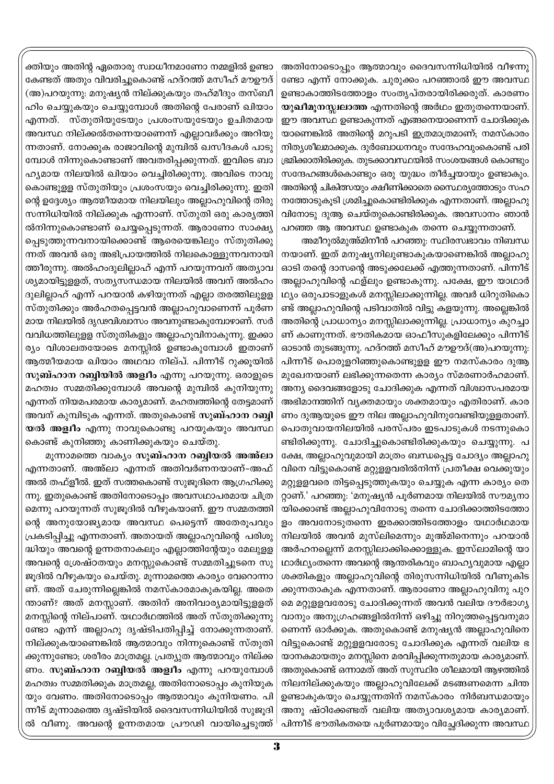അതിനോടൊപ്പും ആത്മാവും ദൈവസന്നിധിയിൽ വീഴന്നു ണ്ടോ എന്ന് നോക്കുക. ചുരുക്കം പറഞ്ഞാൽ ഈ അവസ്ഥ ഉണ്ടാകാത്തിടത്തോളം സംതൃപ്തരായിരിക്കരുത്. കാരണം യുഖീമൂനസ്സ്വലാത്ത എന്നതിന്റെ അർഥം ഇതുതന്നെയാണ്. ഈ അവസ്ഥ ഉണ്ടാകുന്നത് എങ്ങനെയാണെന്ന് ചോദിക്കുക യാണെങ്കിൽ അതിന്റെ മറുപടി ഇത്രമാത്രമാണ്; നമസ്കാരം നിത്യശീലമാക്കുക. ദുർബോധനവും സന്ദേഹവുംകൊണ്ട് പരി ഭ്രമിക്കാതിരിക്കുക. തുടക്കാവസ്ഥയിൽ സംശയങ്ങൾ കൊണ്ടും സന്ദേഹങ്ങൾകൊണ്ടും ഒരു യുദ്ധം തീർച്ചയായും ഉണ്ടാകും. അതിന്റെ ചികിത്സയും ക്ഷീണിക്കാതെ സൈഥര്യത്തോടും സഹ നത്തോടുകൂടി ശ്രമിച്ചുകൊണ്ടിരിക്കുക എന്നതാണ്. അല്ലാഹു വിനോടു ദുആ ചെയ്തുകൊണ്ടിരിക്കുക. അവസാനം ഞാൻ പറഞ്ഞ ആ അവസ്ഥ ഉണ്ടാകുക തന്നെ ചെയ്യുന്നതാണ്.

അമീറുൽമുഅ്മിനീൻ പറഞ്ഞു: സ്ഥിരസ്വഭാവം നിബന്ധ നയാണ്. ഇത് മനുഷ്യനിലുണ്ടാകുകയാണെങ്കിൽ അല്ലാഹു ഓടി തന്റെ ദാസന്റെ അടുക്കലേക്ക് എത്തുന്നതാണ്. പിന്നീട് അല്ലാഹുവിന്റെ ഫള്ലും ഉണ്ടാകുന്നു. പക്ഷേ, ഈ യാഥാർ ഥ്യം ഒരുപാടാളുകൾ മനസ്സിലാക്കുന്നില്ല. അവർ ധിറുതികൊ ണ്ട് അല്ലാഹുവിന്റെ പടിവാതിൽ വിട്ടു കളയുന്നു. അല്ലെങ്കിൽ അതിന്റെ പ്രാധാന്യം മനസ്സിലാക്കുന്നില്ല. പ്രാധാന്യം കുറച്ചാ ണ് കാണുന്നത്. ഭൗതികമായ ഓഫീസുകളിലേക്കും പിന്നീട് ഓടാൻ തുടങ്ങുന്നു. ഹദ്റത്ത് മസീഹ് മൗഊദ്(അ)പറയുന്നു: പിന്നീട് പൊരുളറിഞ്ഞുകൊണ്ടുളള ഈ നമസ്കാരം ദുആ മുഖേനയാണ് ലഭിക്കുന്നതെന്ന കാര്യം സ്മരണാർഹമാണ്. അന്യ ദൈവങ്ങളോടു ചോദിക്കുക എന്നത് വിശ്വാസപരമായ അഭിമാനത്തിന് വ്യക്തമായും ശക്തമായും എതിരാണ്. കാര ണം ദുആയുടെ ഈ നില അല്ലാഹുവിനുവേണ്ടിയുളളതാണ്. പൊതുവായനിലയിൽ പരസ്പരം ഇടപാടുകൾ നടന്നുകൊ ണ്ടിരിക്കുന്നു. ചോദിച്ചുകൊണ്ടിരിക്കുകയും ചെയ്യുന്നു. പ ക്ഷേ, അല്ലാഹുവുമായി മാത്രം ബന്ധപ്പെട്ട ചോദ്യം അല്ലാഹു വിനെ വിട്ടുകൊണ്ട് മറ്റുളളവരിൽനിന്ന് പ്രതീക്ഷ വെക്കുയും മറ്റുളളവരെ തിട്ടപ്പെടുത്തുകയും ചെയ്യുക എന്ന കാര്യം തെ റ്റാണ്.' പറഞ്ഞു: 'മനുഷ്യൻ പൂർണമായ നിലയിൽ സൗമൃനാ യിക്കൊണ്ട് അല്ലാഹുവിനോടു തന്നെ ചോദിക്കാത്തിടത്തോ ളം അവനോടുതന്നെ ഇരക്കാത്തിടത്തോളം യഥാർഥമായ നിലയിൽ അവൻ മുസ്ലിമെന്നും മുഅ്മിനെന്നും പറയാൻ അർഹനല്ലെന്ന് മനസ്സിലാക്കിക്കൊള്ളുക. ഇസ്ലാമിന്റെ യാ ഥാർഥ്യംതന്നെ അവന്റെ ആന്തരികവും ബാഹ്യവുമായ എല്ലാ ശക്തികളും അല്ലാഹുവിന്റെ തിരുസന്നിധിയിൽ വീണുകിട ക്കുന്നതാകുക എന്നതാണ്. ആരാണോ അല്ലാഹുവിനു പുറ മെ മറ്റുളളവരോടു ചോദിക്കുന്നത് അവൻ വലിയ ദൗർഭാഗ്യ വാനും അനുഗ്രഹങ്ങളിൽനിന്ന് ഒഴിച്ചു നിറുത്തപ്പെട്ടവനുമാ ണെന്ന് ഓർക്കുക. അതുകൊണ്ട് മനുഷ്യൻ അല്ലാഹുവിനെ വിട്ടുകൊണ്ട് മറ്റുളളവരോടു ചോദിക്കുക എന്നത് വലിയ ഭ യാനകമായതും മനസ്സിനെ മരവിപ്പിക്കുന്നതുമായ കാര്യമാണ്. അതുകൊണ്ട് ഒന്നാമത് അത് സുസ്ഥിര ശീലമായി ആഴത്തിൽ നിലനില്ക്കുകയും അല്ലാഹുവിലേക്ക് മടങ്ങണമെന്ന ചിന്ത ഉണ്ടാകുകയും ചെയ്യുന്നതിന് നമസ്കാരം നിർബന്ധമായും അനു ഷ്ഠിക്കേണ്ടത് വലിയ അത്യാവശ്യമായ കാര്യമാണ്. പിന്നീട് ഭൗതികതയെ പൂർണമായും വിച്ഛേദിക്കുന്ന അവസ്ഥ

ക്തിയും അതിന്റ ഏതൊരു സ്വാധീനമാണോ നമ്മളിൽ ഉണ്ടാ കേണ്ടത് അതും വിവരിച്ചുകൊണ്ട് ഹദ്റത്ത് മസീഹ് മൗഊദ് (അ)പറയുന്നു: മനുഷ്യൻ നില്ക്കുകയും തഹ്മീദും തസ്ബീ ഹിം ചെയ്യുകയും ചെയ്യുമ്പോൾ അതിന്റെ പേരാണ് ഖിയാം എന്നത്. സ്തുതിയുടേയും പ്രശംസയുടേയും ഉചിതമായ അവസ്ഥ നില്ക്കൽതന്നെയാണെന്ന് എല്ലാവർക്കും അറിയു ന്നതാണ്. നോക്കുക രാജാവിന്റെ മുമ്പിൽ ഖസീദകൾ പാടു മ്പോൾ നിന്നുകൊണ്ടാണ് അവതരിപ്പക്കുന്നത്. ഇവിടെ ബാ ഹ്യമായ നിലയിൽ ഖിയാം വെച്ചിരിക്കുന്നു. അവിടെ നാവു കൊണ്ടുളള സ്തുതിയും പ്രശംസയും വെച്ചിരിക്കുന്നു. ഇതി ന്റെ ഉദ്ദേശ്യം ആത്മീയമായ നിലയിലും അല്ലാഹുവിന്റെ തിരു സന്നിധിയിൽ നില്ക്കുക എന്നാണ്. സ്തുതി ഒരു കാര്യത്തി ൽനിന്നുകൊണ്ടാണ് ചെയ്യപ്പെടുന്നത്. ആരാണോ സാക്ഷ്യ പ്പെടുത്തുന്നവനായിക്കൊണ്ട് ആരെയെങ്കിലും സ്തുതിക്കു ന്നത് അവൻ ഒരു അഭിപ്രായത്തിൽ നിലകൊള്ളുന്നവനായി ത്തീരുന്നു. അൽഹംദുലില്ലാഹ് എന്ന് പറയുന്നവന് അത്യാവ ശ്യമായിട്ടുള്ളത്, സത്യസന്ധമായ നിലയിൽ അവന് അൽഹം ദുലില്ലാഹ് എന്ന് പറയാൻ കഴിയുന്നത് എല്ലാ തരത്തിലുളള സ്തുതിക്കും അർഹതപ്പെട്ടവൻ അല്ലാഹുവാണെന്ന് പൂർണ മായ നിലയിൽ ദൃഢവിശ്വാസം അവനുണ്ടാകുമ്പോഴാണ്. സർ വവിധത്തിലുളള സ്തുതികളും അല്ലാഹുവിനാകുന്നു. ഇക്കാ ര്യം വിശാലതയോടെ മനസ്സിൽ ഉണ്ടാകുമ്പോൾ ഇതാണ് ആത്മീയമായ ഖിയാം അഥവാ നില്പ്. പിന്നീട് റുക്കൂയിൽ സുബ്ഹാന റബ്ബിയിൽ അള്വീം എന്നു പറയുന്നു. ഒരാളുടെ മഹത്വം സമ്മതിക്കുമ്പോൾ അവന്റെ മുമ്പിൽ കുനിയുന്നു എന്നത് നിയമപരമായ കാര്യമാണ്. മഹത്വത്തിന്റെ തേട്ടമാണ് അവന് കുമ്പിടുക എന്നത്. അതുകൊണ്ട് സു**ബ്ഹാന റബ്ബി** യൽ അള്വീം എന്നു നാവുകൊണ്ടു പറയുകയും അവസ്ഥ കൊണ്ട് കുനിഞ്ഞു കാണിക്കുകയും ചെയ്തു.

മൂന്നാമത്തെ വാക്യം സുബ്ഹാന റബ്ബിയൽ അഅ്ലാ എന്നതാണ്. അഅ്ലാ എന്നത് അതിവർണനയാണ്-അഫ് അൽ തഫ്ളീൽ. ഇത് സത്തകൊണ്ട് സുജൂദിനെ ആഗ്രഹിക്കു ന്നു. ഇതുകൊണ്ട് അതിനോടൊപ്പം അവസഥാപരമായ ചിത്ര മെന്നു പറയുന്നത് സുജൂദിൽ വീഴുകയാണ്. ഈ സമ്മതത്തി ന്റെ അനുയോജ്യമായ അവസ്ഥ പെട്ടെന്ന് അതേരൂപവും പ്രകടിപ്പിച്ചു എന്നതാണ്. അതായത് അല്ലാഹുവിന്റെ പരിശു ദ്ധിയും അവന്റെ ഉന്നതനാകലും എല്ലാത്തിന്റേയും മേലുളള അവന്റെ ശ്രേഷ്ഠതയും മനസ്സുകൊണ്ട് സമ്മതിച്ചുടനെ സു ജൂദിൽ വീഴുകയും ചെയ്തു. മൂന്നാമത്തെ കാര്യം വേറൊന്നാ ണ്. അത് ചേരുന്നില്ലെങ്കിൽ നമസ്കാരമാകുകയില്ല. അതെ ന്താണ്? അത് മനസ്സാണ്. അതിന് അനിവാര്യമായിട്ടുളളത് മനസ്സിന്റെ നില്പാണ്. യഥാർഥത്തിൽ അത് സ്തുതിക്കുന്നു ണ്ടോ എന്ന് അല്ലാഹു ദൃഷ്ടിപതിപ്പിച്ച് നോക്കുന്നതാണ്. നില്ക്കുകയാണെങ്കിൽ ആത്മാവും നിന്നുകൊണ്ട് സ്തുതി ക്കുന്നുണ്ടോ; ശരീരം മാത്രമല്ല. പ്രത്യുത ആത്മാവും നില്ക്ക ണം. സുബ്ഹാന റബ്ബിയൽ അള്വീം എന്നു പറയുമ്പോൾ മഹത്വം സമ്മതിക്കുക മാത്രമല്ല, അതിനോടൊപ്പം കുനിയുക യും വേണം. അതിനോടൊപ്പം ആത്മാവും കുനിയണം. പി ന്നീട് മൂന്നാമത്തെ ദൃഷ്ടിയിൽ ദൈവസന്നിധിയിൽ സുജൂദി ൽ വീണു. അവന്റെ ഉന്നതമായ പ്രൗഢി വായിച്ചെടുത്ത് <sup>1</sup>